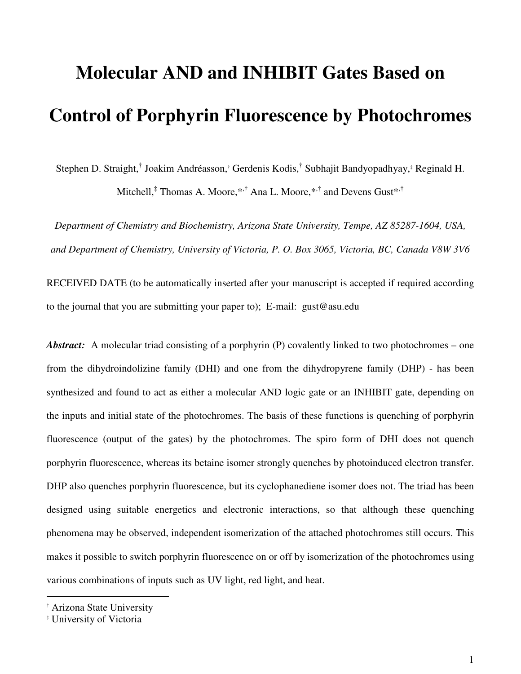# **Molecular AND and INHIBIT Gates Based on Control of Porphyrin Fluorescence by Photochromes**

Stephen D. Straight,<sup>†</sup> Joakim Andréasson,† Gerdenis Kodis,<sup>†</sup> Subhajit Bandyopadhyay,‡ Reginald H.

Mitchell,<sup>‡</sup> Thomas A. Moore,\*<sup>,†</sup> Ana L. Moore,\*<sup>,†</sup> and Devens Gust\*<sup>,†</sup>

*Department of Chemistry and Biochemistry, Arizona State University, Tempe, AZ 85287-1604, USA, and Department of Chemistry, University of Victoria, P. O. Box 3065, Victoria, BC, Canada V8W 3V6* 

RECEIVED DATE (to be automatically inserted after your manuscript is accepted if required according to the journal that you are submitting your paper to); E-mail: gust@asu.edu

*Abstract:* A molecular triad consisting of a porphyrin (P) covalently linked to two photochromes – one from the dihydroindolizine family (DHI) and one from the dihydropyrene family (DHP) - has been synthesized and found to act as either a molecular AND logic gate or an INHIBIT gate, depending on the inputs and initial state of the photochromes. The basis of these functions is quenching of porphyrin fluorescence (output of the gates) by the photochromes. The spiro form of DHI does not quench porphyrin fluorescence, whereas its betaine isomer strongly quenches by photoinduced electron transfer. DHP also quenches porphyrin fluorescence, but its cyclophanediene isomer does not. The triad has been designed using suitable energetics and electronic interactions, so that although these quenching phenomena may be observed, independent isomerization of the attached photochromes still occurs. This makes it possible to switch porphyrin fluorescence on or off by isomerization of the photochromes using various combinations of inputs such as UV light, red light, and heat.

 $\overline{a}$ 

<sup>†</sup> Arizona State University

<sup>‡</sup> University of Victoria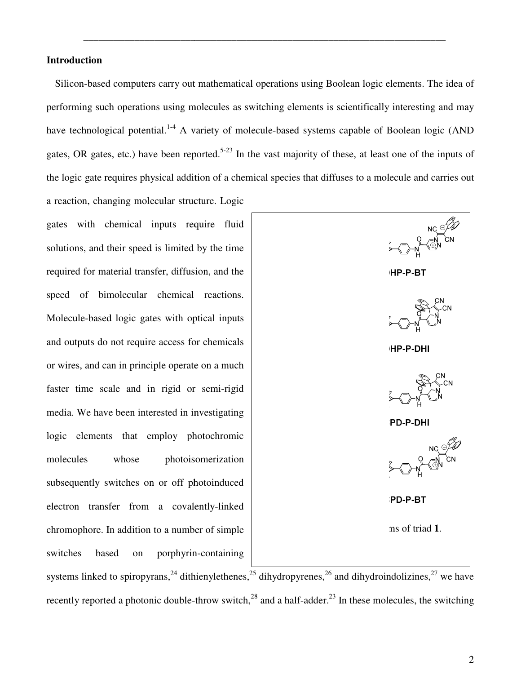# **Introduction**

Silicon-based computers carry out mathematical operations using Boolean logic elements. The idea of Silicon-based computers carry out mathematical operations using Boolean logic elements. The idea of<br>performing such operations using molecules as switching elements is scientifically interesting and may have technological potential.<sup>1-4</sup> A variety of molecule-based systems capable of Boolean logic (AND gates, OR gates, etc.) have been reported.<sup>5-23</sup> In the vast majority of these, at least one of the inputs of the logic gate requires physical addition of a chemical species that diffuses to a molecule and carries out a reaction, changing molecular structure. Logic

\_\_\_\_\_\_\_\_\_\_\_\_\_\_\_\_\_\_\_\_\_\_\_\_\_\_\_\_\_\_\_\_\_\_\_\_\_\_\_\_\_\_\_\_\_\_\_\_\_\_\_\_\_\_\_\_\_\_\_\_\_\_\_\_\_\_\_\_\_\_\_

gates with chemical inputs require fluid solutions, and their speed is limited by the time required for material transfer, diffusion, and the speed of bimolecular chemical reactions. Molecule-based logic gates with optical inputs and outputs do not require access for chemicals or wires, and can in principle operate on a much faster time scale and in rigid or semi-rigid media. We have been interested in investigating logic elements that employ photochromic molecules whose photoisomerization subsequently switches on or off photoinduced logic elements that employ photochromic<br>
molecules whose photoisomerization<br>
subsequently switches on or off photoinduced<br>
electron transfer from a covalently-linked chromophore. In addition to a number of simple<br>switches based on porphyrin-containing switches based on porphyrin-containing systems linked to spiropyrans,<sup>24</sup> dithienylethenes,<sup>25</sup> dihydropyrenes,<sup>26</sup> and dihydroindolizines, recently reported a photonic double-throw switch,<sup>28</sup> and a half-adder.<sup>23</sup> In these molecules, the switching and their speed is limited by the time<br>or material transfer, diffusion, and the<br>bimolecular chemical reactions.<br>based logic gates with optical inputs<br>ts do not require access for chemicals<br>and can in principle operate on a

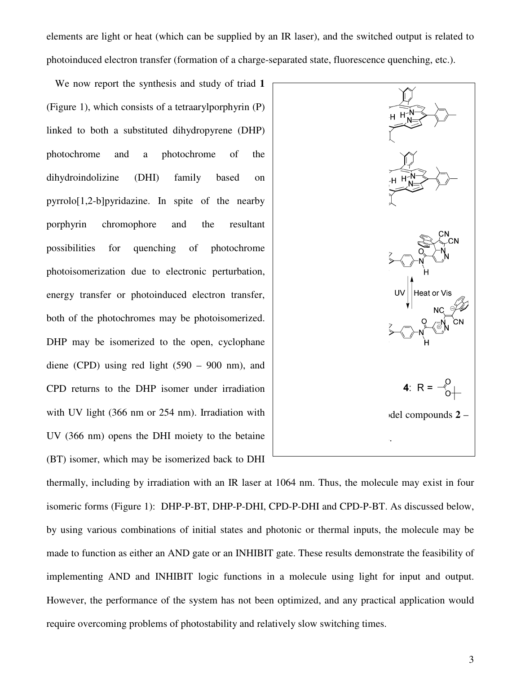elements are light or heat (which can be supplied by an IR laser), and the switched output is related to photoinduced electron transfer (formation of a charge-separated state, fluorescence quenching, etc.).

We now report the synthesis and study of triad 1 (Figure 1), which consists of a tetraarylporphyrin (P) linked to both a substituted dihydropyrene (DHP) photochrome and a photochrome of the dihydroindolizine (DHI) family based on pyrrolo[1,2-b]pyridazine. In spite of the nearby porphyrin chromophore and the resultant possibilities for quenching of photochrome photoisomerization due to electronic perturbation, energy transfer or photoinduced electron transfer, both of the photochromes may be photoisomerized. DHP may be isomerized to the open, cyclophane diene (CPD) using red light  $(590 - 900)$  nm), and CPD returns to the DHP isomer under irradiation with UV light (366 nm or 254 nm). Irradiation with UV (366 nm) opens the DHI moiety to the betaine (BT) isomer, which may be isomerized back to DHI which consists of a tetraarylporphyrin (P)<br>both a substituted dihydropyrene (DHP)<br>me and a photochrome of the<br>lolizine (DHI) family based on<br>2-b]pyridazine. In spite of the nearby<br>chromophore and the resultant<br>s for quenc



thermally, including by irradiation with an IR laser at 1064 nm. Thus, the molec isomeric forms (Figure 1): DHP-P-BT, DHP-P-DHI, CPD-P-DHI and CPD-P-BT. As discussed below, by using various combinations of initial states and photonic or thermal inputs, the molecule may be by using various combinations of initial states and photonic or thermal inputs, the molecule may be<br>made to function as either an AND gate or an INHIBIT gate. These results demonstrate the feasibility of implementing AND and INHIBIT logic functions in a molecule using light for input and output. However, the performance of the system has not been optimized, and any practical application would require overcoming problems of photostability and relatively slow switching times. vith UV light (366 nm or 254 nm). Irradiation with<br>IV (366 nm) opens the DHI moiety to the betaine<br>BT) isomer, which may be isomerized back to DHI<br>hermally, including by irradiation with an IR laser at 1064 nm. Thus, the m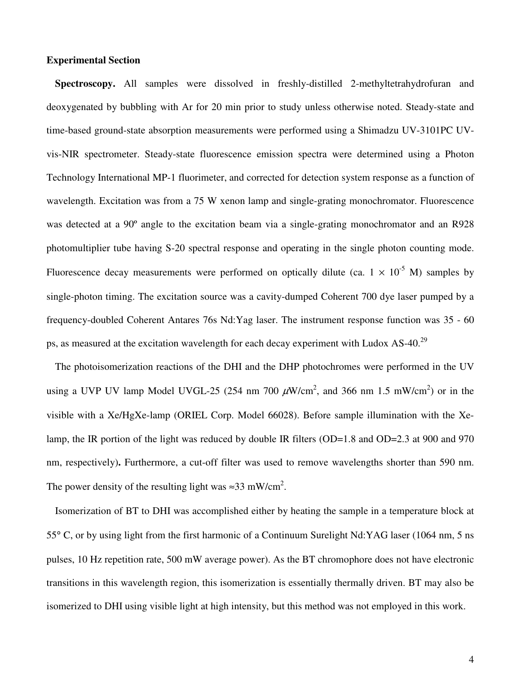## **Experimental Section**

**Spectroscopy.** All samples were dissolved in freshly-distilled 2-methyltetrahydrofuran and deoxygenated by bubbling with Ar for 20 min prior to study unless otherwise noted. Steady-state and time-based ground-state absorption measurements were performed using a Shimadzu UV-3101PC UVvis-NIR spectrometer. Steady-state fluorescence emission spectra were determined using a Photon Technology International MP-1 fluorimeter, and corrected for detection system response as a function of wavelength. Excitation was from a 75 W xenon lamp and single-grating monochromator. Fluorescence was detected at a 90º angle to the excitation beam via a single-grating monochromator and an R928 photomultiplier tube having S-20 spectral response and operating in the single photon counting mode. Fluorescence decay measurements were performed on optically dilute (ca.  $1 \times 10^{-5}$  M) samples by single-photon timing. The excitation source was a cavity-dumped Coherent 700 dye laser pumped by a frequency-doubled Coherent Antares 76s Nd:Yag laser. The instrument response function was 35 - 60 ps, as measured at the excitation wavelength for each decay experiment with Ludox AS-40.<sup>29</sup>

The photoisomerization reactions of the DHI and the DHP photochromes were performed in the UV using a UVP UV lamp Model UVGL-25 (254 nm 700  $\mu$ W/cm<sup>2</sup>, and 366 nm 1.5 mW/cm<sup>2</sup>) or in the visible with a Xe/HgXe-lamp (ORIEL Corp. Model 66028). Before sample illumination with the Xelamp, the IR portion of the light was reduced by double IR filters (OD=1.8 and OD=2.3 at 900 and 970 nm, respectively)**.** Furthermore, a cut-off filter was used to remove wavelengths shorter than 590 nm. The power density of the resulting light was  $\approx 33$  mW/cm<sup>2</sup>.

Isomerization of BT to DHI was accomplished either by heating the sample in a temperature block at 55° C, or by using light from the first harmonic of a Continuum Surelight Nd:YAG laser (1064 nm, 5 ns pulses, 10 Hz repetition rate, 500 mW average power). As the BT chromophore does not have electronic transitions in this wavelength region, this isomerization is essentially thermally driven. BT may also be isomerized to DHI using visible light at high intensity, but this method was not employed in this work.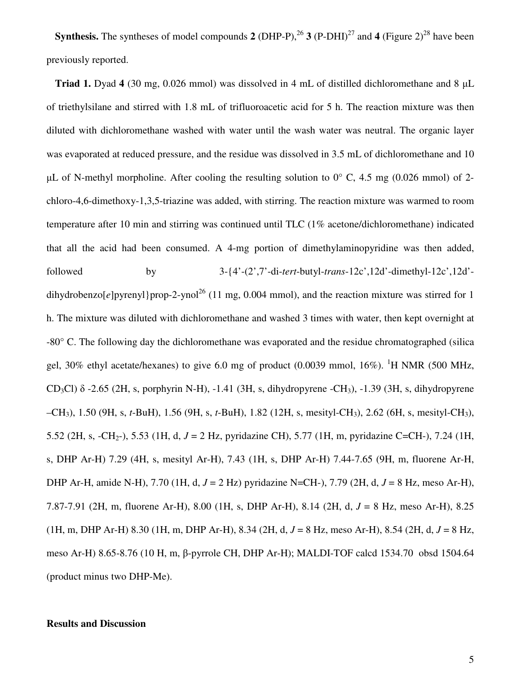**Synthesis.** The syntheses of model compounds **2** (DHP-P),  $^{26}$  **3** (P-DHI)<sup>27</sup> and **4** (Figure 2)<sup>28</sup> have been previously reported.

**Triad 1.** Dyad **4** (30 mg, 0.026 mmol) was dissolved in 4 mL of distilled dichloromethane and 8 µL of triethylsilane and stirred with 1.8 mL of trifluoroacetic acid for 5 h. The reaction mixture was then diluted with dichloromethane washed with water until the wash water was neutral. The organic layer was evaporated at reduced pressure, and the residue was dissolved in 3.5 mL of dichloromethane and 10  $\mu$ L of N-methyl morpholine. After cooling the resulting solution to 0° C, 4.5 mg (0.026 mmol) of 2chloro-4,6-dimethoxy-1,3,5-triazine was added, with stirring. The reaction mixture was warmed to room temperature after 10 min and stirring was continued until TLC (1% acetone/dichloromethane) indicated that all the acid had been consumed. A 4-mg portion of dimethylaminopyridine was then added, followed by 3-{4'-(2',7'-di-*tert*-butyl-*trans*-12c',12d'-dimethyl-12c',12d' dihydrobenzo[ $e$ ]pyrenyl}prop-2-ynol<sup>26</sup> (11 mg, 0.004 mmol), and the reaction mixture was stirred for 1 h. The mixture was diluted with dichloromethane and washed 3 times with water, then kept overnight at -80° C. The following day the dichloromethane was evaporated and the residue chromatographed (silica gel, 30% ethyl acetate/hexanes) to give 6.0 mg of product  $(0.0039 \text{ mmol}, 16\%)$ . <sup>1</sup>H NMR (500 MHz, CD<sub>3</sub>Cl)  $\delta$  -2.65 (2H, s, porphyrin N-H), -1.41 (3H, s, dihydropyrene -CH<sub>3</sub>), -1.39 (3H, s, dihydropyrene –CH3), 1.50 (9H, s, *t*-BuH), 1.56 (9H, s, *t*-BuH), 1.82 (12H, s, mesityl-CH3), 2.62 (6H, s, mesityl-CH3), 5.52 (2H, s, -CH2-), 5.53 (1H, d, *J* = 2 Hz, pyridazine CH), 5.77 (1H, m, pyridazine C=CH-), 7.24 (1H, s, DHP Ar-H) 7.29 (4H, s, mesityl Ar-H), 7.43 (1H, s, DHP Ar-H) 7.44-7.65 (9H, m, fluorene Ar-H, DHP Ar-H, amide N-H), 7.70 (1H, d, *J* = 2 Hz) pyridazine N=CH-), 7.79 (2H, d, *J* = 8 Hz, meso Ar-H), 7.87-7.91 (2H, m, fluorene Ar-H), 8.00 (1H, s, DHP Ar-H), 8.14 (2H, d, *J* = 8 Hz, meso Ar-H), 8.25 (1H, m, DHP Ar-H) 8.30 (1H, m, DHP Ar-H), 8.34 (2H, d, *J* = 8 Hz, meso Ar-H), 8.54 (2H, d, *J* = 8 Hz, meso Ar-H) 8.65-8.76 (10 H, m, β-pyrrole CH, DHP Ar-H); MALDI-TOF calcd 1534.70 obsd 1504.64 (product minus two DHP-Me).

## **Results and Discussion**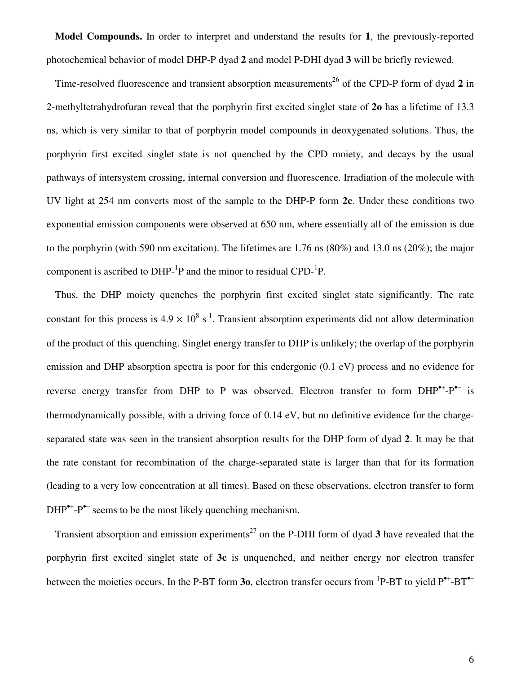**Model Compounds.** In order to interpret and understand the results for **1**, the previously-reported photochemical behavior of model DHP-P dyad **2** and model P-DHI dyad **3** will be briefly reviewed.

Time-resolved fluorescence and transient absorption measurements<sup>26</sup> of the CPD-P form of dyad 2 in 2-methyltetrahydrofuran reveal that the porphyrin first excited singlet state of **2o** has a lifetime of 13.3 ns, which is very similar to that of porphyrin model compounds in deoxygenated solutions. Thus, the porphyrin first excited singlet state is not quenched by the CPD moiety, and decays by the usual pathways of intersystem crossing, internal conversion and fluorescence. Irradiation of the molecule with UV light at 254 nm converts most of the sample to the DHP-P form **2c**. Under these conditions two exponential emission components were observed at 650 nm, where essentially all of the emission is due to the porphyrin (with 590 nm excitation). The lifetimes are 1.76 ns (80%) and 13.0 ns (20%); the major component is ascribed to  $DHP^{-1}P$  and the minor to residual  $CPD^{-1}P$ .

Thus, the DHP moiety quenches the porphyrin first excited singlet state significantly. The rate constant for this process is  $4.9 \times 10^8$  s<sup>-1</sup>. Transient absorption experiments did not allow determination of the product of this quenching. Singlet energy transfer to DHP is unlikely; the overlap of the porphyrin emission and DHP absorption spectra is poor for this endergonic (0.1 eV) process and no evidence for reverse energy transfer from DHP to P was observed. Electron transfer to form DHP<sup>•+</sup>-P<sup>•−</sup> is thermodynamically possible, with a driving force of 0.14 eV, but no definitive evidence for the chargeseparated state was seen in the transient absorption results for the DHP form of dyad **2**. It may be that the rate constant for recombination of the charge-separated state is larger than that for its formation (leading to a very low concentration at all times). Based on these observations, electron transfer to form DHP<sup>•+</sup>-P<sup>•–</sup> seems to be the most likely quenching mechanism.

Transient absorption and emission experiments<sup>27</sup> on the P-DHI form of dyad  $3$  have revealed that the porphyrin first excited singlet state of **3c** is unquenched, and neither energy nor electron transfer between the moieties occurs. In the P-BT form **30**, electron transfer occurs from <sup>1</sup>P-BT to yield P<sup>•+</sup>-BT<sup>•–</sup>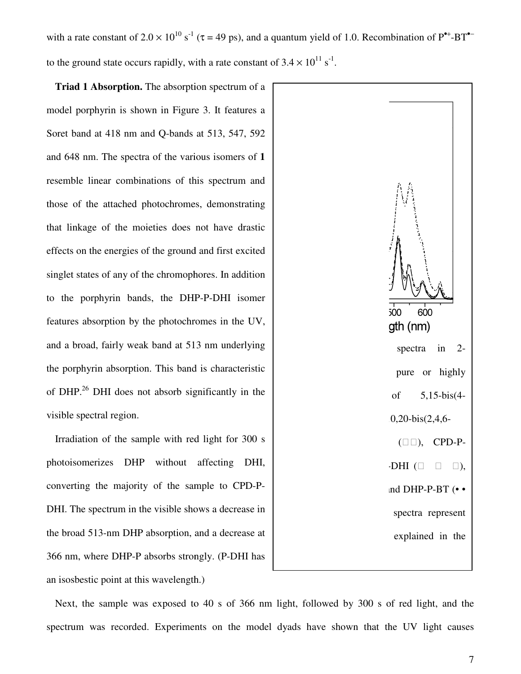with a rate constant of  $2.0 \times 10^{10}$  s<sup>-1</sup> ( $\tau$  = 49 ps), and a quantum yield of 1.0. Recombination of P<sup>\*+</sup>-BT<sup>\*-</sup> to the ground state occurs rapidly, with a rate constant of  $3.4 \times 10^{11}$  s<sup>-1</sup>.

**Triad 1 Absorption.** The absorption spectrum of a model porphyrin is shown in Figure 3. It features a Soret band at 418 nm and Q-bands at 513, 547, 592 Soret band at 418 nm and Q-bands at 513, 547, 592<br>and 648 nm. The spectra of the various isomers of 1 resemble linear combinations of this spectrum and those of the attached photochromes, demonstrating that linkage of the moieties does not have dra effects on the energies of the ground and first excited singlet states of any of the chromophores. In addition to the porphyrin bands, the DHP-P-DHI isomer features absorption by the photochromes in the UV, features absorption by the photochromes in the UV,<br>and a broad, fairly weak band at 513 nm underlying the porphyrin absorption. This band is characteristic of DHP.<sup>26</sup> DHI does not absorb significantly in the visible spectral region. nble linear combinations of this spectrum and<br>object the attached photochromes, demonstrating<br>linkage of the moieties does not have drastic of the ground and first excited<br>the chromophores. In addition<br>ds, the DHP-P-DHI isomer

Irradiation of the sample with red light for 300 s photoisomerizes DHP without affecting DHI, converting the majority of the sample to CPD DHI. The spectrum in the visible shows a decrease in the broad 513-nm DHP absorption, and a decrease at DHI. The spectrum in the visible shows a decrease in<br>the broad 513-nm DHP absorption, and a decrease at<br>366 nm, where DHP-P absorbs strongly. (P-DHI has an isosbestic point at this wavelength.) the porphyrin absorption. This band is characteristic<br>of DHP.<sup>26</sup> DHI does not absorb significantly in the<br>visible spectral region.<br>Irradiation of the sample with red light for 300 s<br>photoisomerizes DHP without affecting D



Next, the sample was exposed to 40 s of 366 nm light, followed by 300 s of red light, and the spectrum was recorded. Experiments on the model dyads have shown that the UV light causes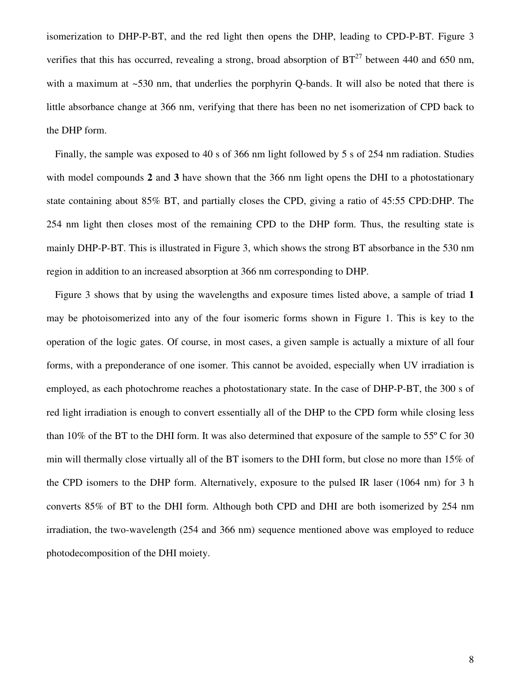isomerization to DHP-P-BT, and the red light then opens the DHP, leading to CPD-P-BT. Figure 3 verifies that this has occurred, revealing a strong, broad absorption of  $BT^{27}$  between 440 and 650 nm, with a maximum at ~530 nm, that underlies the porphyrin Q-bands. It will also be noted that there is little absorbance change at 366 nm, verifying that there has been no net isomerization of CPD back to the DHP form.

Finally, the sample was exposed to 40 s of 366 nm light followed by 5 s of 254 nm radiation. Studies with model compounds **2** and **3** have shown that the 366 nm light opens the DHI to a photostationary state containing about 85% BT, and partially closes the CPD, giving a ratio of 45:55 CPD:DHP. The 254 nm light then closes most of the remaining CPD to the DHP form. Thus, the resulting state is mainly DHP-P-BT. This is illustrated in Figure 3, which shows the strong BT absorbance in the 530 nm region in addition to an increased absorption at 366 nm corresponding to DHP.

Figure 3 shows that by using the wavelengths and exposure times listed above, a sample of triad **1** may be photoisomerized into any of the four isomeric forms shown in Figure 1. This is key to the operation of the logic gates. Of course, in most cases, a given sample is actually a mixture of all four forms, with a preponderance of one isomer. This cannot be avoided, especially when UV irradiation is employed, as each photochrome reaches a photostationary state. In the case of DHP-P-BT, the 300 s of red light irradiation is enough to convert essentially all of the DHP to the CPD form while closing less than 10% of the BT to the DHI form. It was also determined that exposure of the sample to 55º C for 30 min will thermally close virtually all of the BT isomers to the DHI form, but close no more than 15% of the CPD isomers to the DHP form. Alternatively, exposure to the pulsed IR laser (1064 nm) for 3 h converts 85% of BT to the DHI form. Although both CPD and DHI are both isomerized by 254 nm irradiation, the two-wavelength (254 and 366 nm) sequence mentioned above was employed to reduce photodecomposition of the DHI moiety.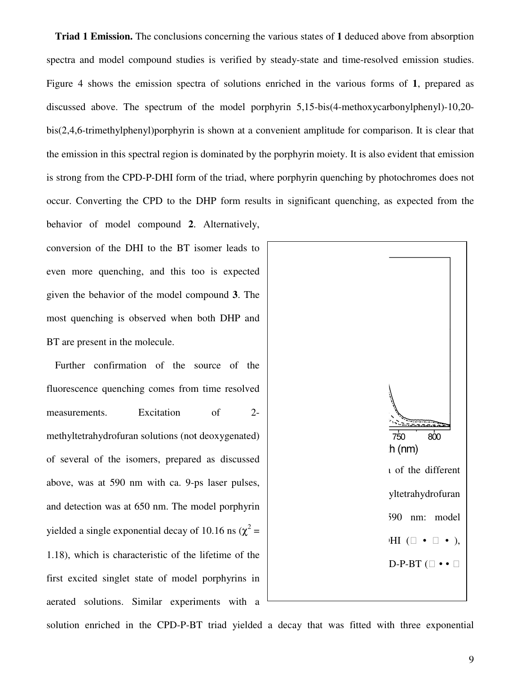**Triad 1 Emission.** The conclusions concerning the various states of **1** deduced above from absorption Triad 1 Emission. The conclusions concerning the various states of 1 deduced above from absorption spectra and model compound studies is verified by steady-state and time-resolved emission studies. Figure 4 shows the emission spectra of solutions enriched in the various forms of **1**, prepared as Figure 4 shows the emission spectra of solutions enriched in the various forms of 1, prepared as discussed above. The spectrum of the model porphyrin 5,15-bis(4-methoxycarbonylphenyl)-10,20bis(2,4,6-trimethylphenyl)porphyrin is shown at a convenient amplitude for comparison. It is clear that the emission in this spectral region is dominated by the porphyrin moiety. It is also evident that emission is strong from the CPD-P-DHI form of the triad, where porphyrin quenching by photochromes does not occur. Converting the CPD to the DHP form results in significant quenching, as expected from the behavior of model compound **2**. Alternatively, nethylphenyl)porphyrin is shown at a convenient amplitude for comparison. It is clear that<br>in this spectral region is dominated by the porphyrin moiety. It is also evident that emission<br>n the CPD-P-DHI form of the triad, w

conversion of the DHI to the BT isomer leads to behavior of model compound 2. Alternatively,<br>conversion of the DHI to the BT isomer leads to<br>even more quenching, and this too is expected given the behavior of the model compound 3. The most quenching is observed when both DHP and BT are present in the molecule.

Further confirmation of the source of the fluorescence quenching comes from time resolved measurements. Excitation of 2methyltetrahydrofuran solutions (not deoxygenated) of several of the isomers, prepared as discussed above, was at 590 nm with ca. 9-ps laser pulses, and detection was at 650 nm. The model porphyrin methyltetrahydrofuran solutions (not deoxygenated)<br>of several of the isomers, prepared as discussed<br>above, was at 590 nm with ca. 9-ps laser pulses,<br>and detection was at 650 nm. The model porphyrin<br>yielded a single expone 1.18), which is characteristic of the lifetime of the first excited singlet state of model porphyrins in aerated solutions. Similar experiments with a quenching is observed when both DHP and<br>e present in the molecule.<br>ther confirmation of the source of the<br>scence quenching comes from time resolved<br>urements. Excitation of 2-



solution enriched in the CPD-P-BT triad yielded a decay that was fitted with three exponential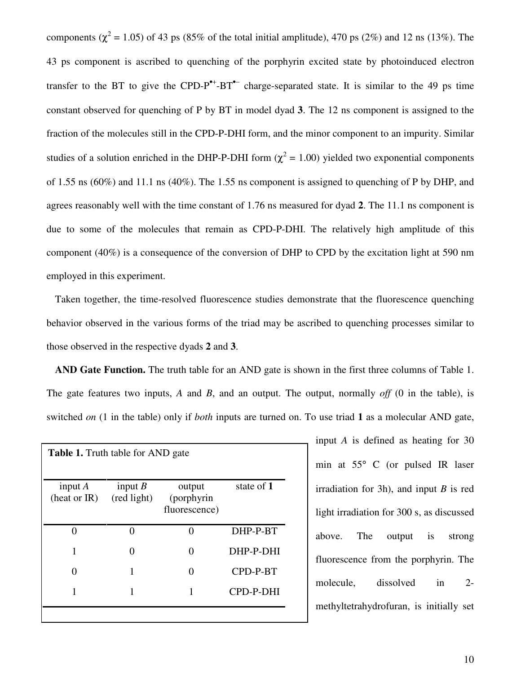components ( $\chi^2$  = 1.05) of 43 ps (85% of the total initial amplitude), 470 ps (2%) and 12 ns (13%). The 43 ps component is ascribed to quenching of the porphyrin excited state by photoinduced electron transfer to the BT to give the CPD-P<sup> $^{\bullet+}$ </sup>-BT<sup> $^{\bullet-}$ </sup> charge-separated state. It is similar to the 49 ps time constant observed for quenching of P by BT in model dyad **3**. The 12 ns component is assigned to the fraction of the molecules still in the CPD-P-DHI form, and the minor component to an impurity. Similar studies of a solution enriched in the DHP-P-DHI form ( $\chi^2$  = 1.00) yielded two exponential components of 1.55 ns (60%) and 11.1 ns (40%). The 1.55 ns component is assigned to quenching of P by DHP, and agrees reasonably well with the time constant of 1.76 ns measured for dyad **2**. The 11.1 ns component is due to some of the molecules that remain as CPD-P-DHI. The relatively high amplitude of this component (40%) is a consequence of the conversion of DHP to CPD by the excitation light at 590 nm employed in this experiment.

Taken together, the time-resolved fluorescence studies demonstrate that the fluorescence quenching behavior observed in the various forms of the triad may be ascribed to quenching processes similar to those observed in the respective dyads **2** and **3**.

**AND Gate Function.** The truth table for an AND gate is shown in the first three columns of Table 1. The gate features two inputs, *A* and *B*, and an output. The output, normally *off* (0 in the table), is switched *on* (1 in the table) only if *both* inputs are turned on. To use triad **1** as a molecular AND gate,

| <b>Table 1.</b> Truth table for AND gate |                          |                                       |            |
|------------------------------------------|--------------------------|---------------------------------------|------------|
| input $A$<br>(heat or IR)                | input $B$<br>(red light) | output<br>(porphyrin<br>fluorescence) | state of 1 |
|                                          | ⋂                        | ⋂                                     | DHP-P-BT   |
| 1                                        |                          | Ω                                     | DHP-P-DHI  |
|                                          |                          |                                       | CPD-P-BT   |
|                                          |                          |                                       | CPD-P-DHI  |
|                                          |                          |                                       |            |

input *A* is defined as heating for 30 min at 55° C (or pulsed IR laser irradiation for 3h), and input *B* is red light irradiation for 300 s, as discussed above. The output is strong fluorescence from the porphyrin. The molecule, dissolved in 2 methyltetrahydrofuran, is initially set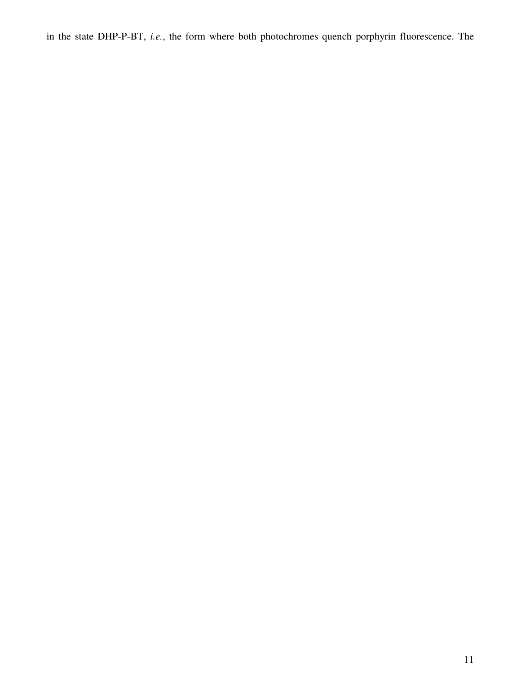in the state DHP-P-BT, *i.e.*, the form where both photochromes quench porphyrin fluorescence. The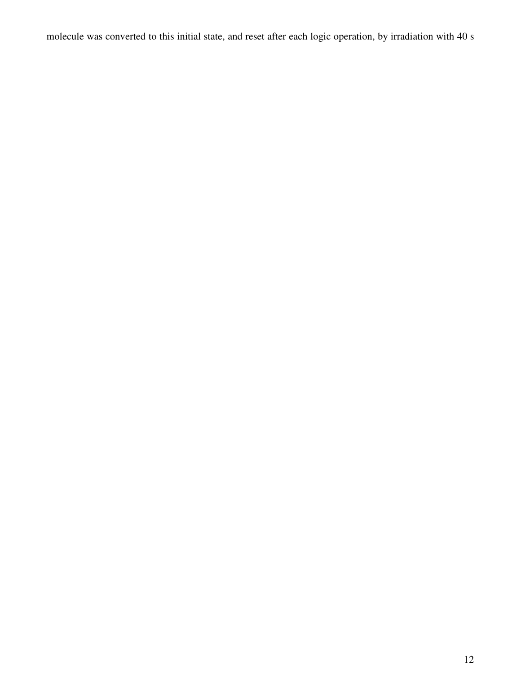molecule was converted to this initial state, and reset after each logic operation, by irradiation with 40 s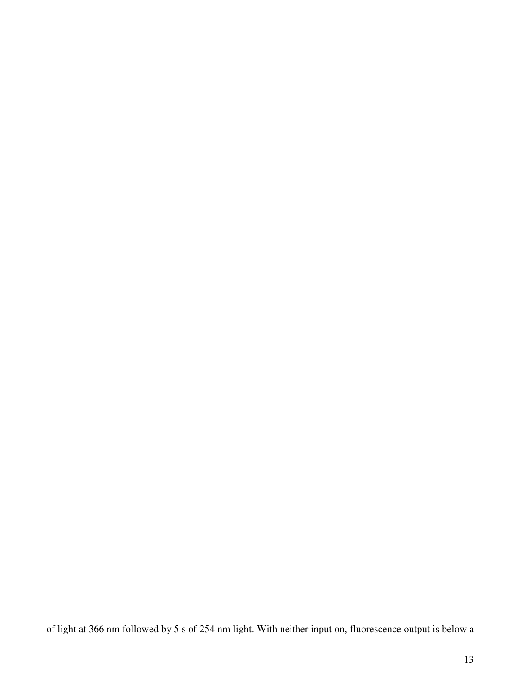of light at 366 nm followed by 5 s of 254 nm light. With neither input on, fluorescence output is below a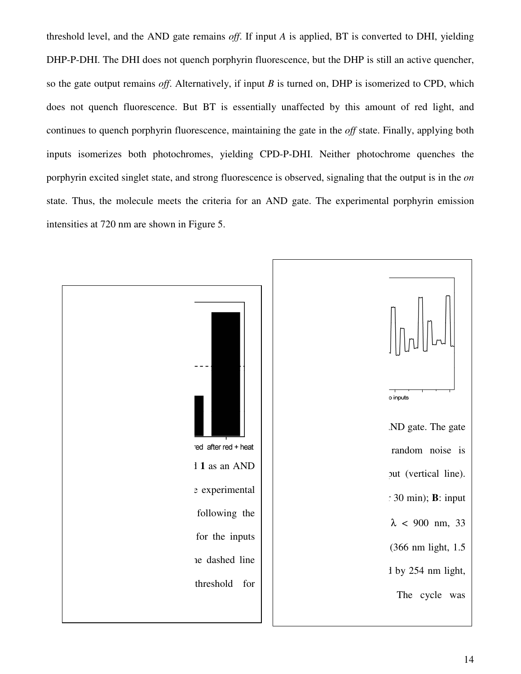threshold level, and the AND gate remains off. If input *A* is applied, BT is converted to DHI, yielding DHP-P-DHI. The DHI does not quench porphyrin fluorescence, but the DHP is still an active quencher, so the gate output remains *off*. Alternatively, if input  $B$  is turned on, DHP is isomerized to CPD, which does not quench fluorescence. But BT is essentially unaffected by this amount of red light, and does not quench fluorescence. But BT is essentially unaffected by this amount of red light, and<br>continues to quench porphyrin fluorescence, maintaining the gate in the *off* state. Finally, applying both inputs isomerizes both photochromes, yielding CPD-P-DHI. Neither photochrome quenches the porphyrin excited singlet state, and strong fluorescence is observed, signaling that the output is in the state. Thus, the molecule meets the criteria for an AND gate. The experimental porphyrin emission intensities at 720 nm are shown in Figure 5. If A is applied, BT is converted to DHI, yielding<br>escence, but the DHP is still an active quencher,<br>is turned on, DHP is isomerized to CPD, which<br>unaffected by this amount of red light, and<br>g the gate in the *off* state. F

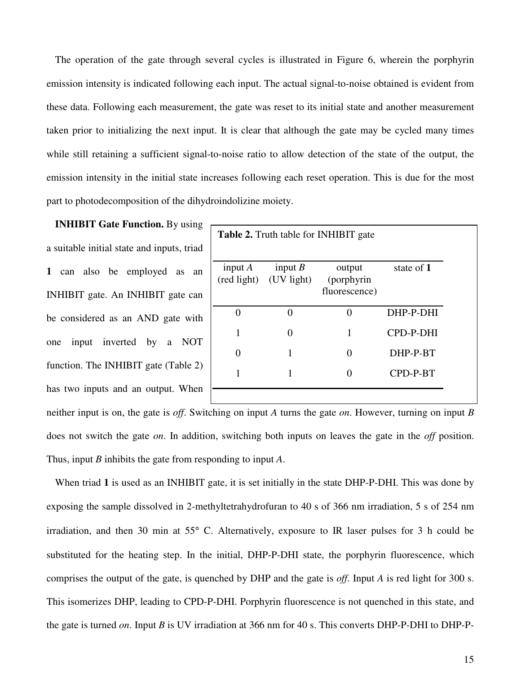The operation of the gate through several cycles is illustrated in Figure 6, wherein the porphyrin emission intensity is indicated following each input. The actual signal-to-noise obtained is evident from these data. Following each measurement, the gate was reset to its initial state and another measurement taken prior to initializing the next input. It is clear that although the gate may be cycled many times while still retaining a sufficient signal-to-noise ratio to allow detection of the state of the output, the emission intensity in the initial state increases following each reset operation. This is due for the most part to photodecomposition of the dihydroindolizine moiety.

**INHIBIT Gate Function.** By using a suitable initial state and inputs, triad **1** can also be employed as an INHIBIT gate. An INHIBIT gate can be considered as an AND gate with one input inverted by a NOT function. The INHIBIT gate (Table 2) has two inputs and an output. When

| <b>Table 2.</b> Truth table for INHIBIT gate |                                     |                                       |            |  |  |
|----------------------------------------------|-------------------------------------|---------------------------------------|------------|--|--|
|                                              |                                     |                                       |            |  |  |
| input $A$                                    | input $B$<br>(red light) (UV light) | output<br>(porphyrin<br>fluorescence) | state of 1 |  |  |
| 0                                            |                                     | 0                                     | DHP-P-DHI  |  |  |
| 1                                            |                                     | 1                                     | CPD-P-DHI  |  |  |
| 0                                            |                                     | 0                                     | DHP-P-BT   |  |  |
| 1                                            |                                     |                                       | CPD-P-BT   |  |  |
|                                              |                                     |                                       |            |  |  |

neither input is on, the gate is *off*. Switching on input *A* turns the gate *on*. However, turning on input *B* does not switch the gate *on*. In addition, switching both inputs on leaves the gate in the *off* position. Thus, input *B* inhibits the gate from responding to input *A*.

When triad **1** is used as an INHIBIT gate, it is set initially in the state DHP-P-DHI. This was done by exposing the sample dissolved in 2-methyltetrahydrofuran to 40 s of 366 nm irradiation, 5 s of 254 nm irradiation, and then 30 min at 55° C. Alternatively, exposure to IR laser pulses for 3 h could be substituted for the heating step. In the initial, DHP-P-DHI state, the porphyrin fluorescence, which comprises the output of the gate, is quenched by DHP and the gate is *off*. Input *A* is red light for 300 s. This isomerizes DHP, leading to CPD-P-DHI. Porphyrin fluorescence is not quenched in this state, and the gate is turned *on*. Input *B* is UV irradiation at 366 nm for 40 s. This converts DHP-P-DHI to DHP-P-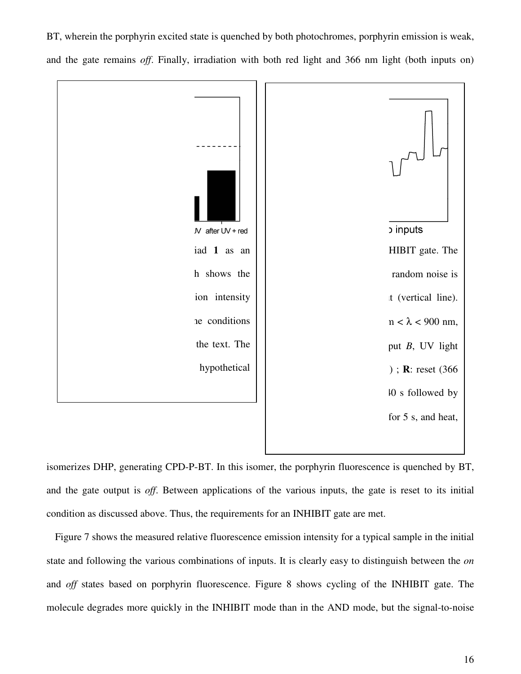**b** inputs  $N$  after  $UV$  + red iad 1 as an **Figure 7.** Performance of the triad **Example 18 as an** HHBIT gate. The<br>
individual increasity<br>
in intensity<br>
in the text. The<br>
bypothetical<br>
bypothetical<br>
bypothetical<br>  $\mu < \lambda < 900$  nm,<br>
the text. The<br>
bypothetical<br>  $\mu < \lambda < 900$  mm,<br>  $\mu < \lambda < 900$  mm,<br>  $\mu < \$ HIBIT gate. The In shows the<br>
ion intensity<br>
the conditions<br>
the text. The<br>
hypothetical h shows the random noise is ion intensity  $\mathfrak{t}$  (vertical line). he conditions  $n < \lambda < 900$  nm, the text. The put *B*, UV light ); **R**: reset  $(366)$  $\mu$  s followed by for 5 s, and heat,

BT, wherein the porphyrin excited state is quenched by both photochromes, porphyrin emission is weak, BT, wherein the porphyrin excited state is quenched by both photochromes, porphyrin emission is weak, and the gate remains *off*. Finally, irradiation with both red light and 366 nm light (both inputs on)

isomerizes DHP, generating CPD-P-BT. In this isomer, the porphyrin fluorescence is quenched by BT, and the gate output is *off*. Between applications of the various inputs, the gate is reset to its initial and the gate output is *off*. Between applications of the various inputs, the gate condition as discussed above. Thus, the requirements for an INHIBIT gate are met. BT. In this isomer, the porphyrin fluorescence is quenched by BT,<br>applications of the various inputs, the gate is reset to its initial<br>the requirements for an INHIBIT gate are met.<br>ve fluorescence emission intensity for a

Figure 7 shows the measured relative fluorescence emission intensity for a typical sample in the initial state and following the various combinations of inputs. It is clearly easy to distinguish between the on and *off* states based on porphyrin fluorescence. Figure 8 shows cycling of the INHIBIT gate. The molecule degrades more quickly in the INHIBIT mode than in the AND mode, but the signal-to-noise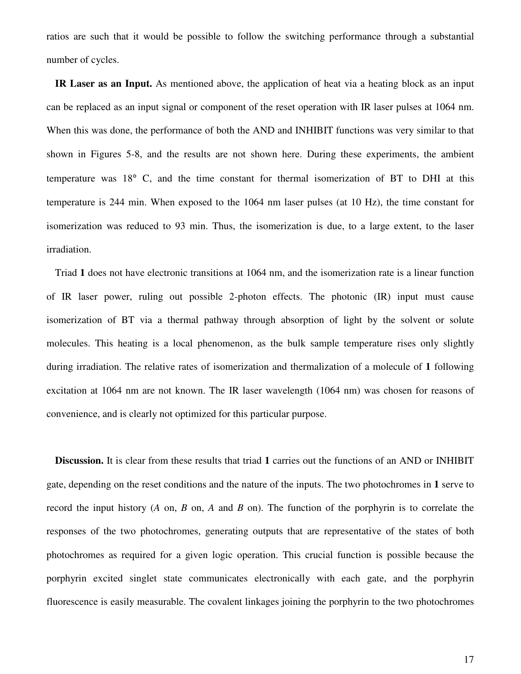ratios are such that it would be possible to follow the switching performance through a substantial number of cycles.

**IR Laser as an Input.** As mentioned above, the application of heat via a heating block as an input can be replaced as an input signal or component of the reset operation with IR laser pulses at 1064 nm. When this was done, the performance of both the AND and INHIBIT functions was very similar to that shown in Figures 5-8, and the results are not shown here. During these experiments, the ambient temperature was 18° C, and the time constant for thermal isomerization of BT to DHI at this temperature is 244 min. When exposed to the 1064 nm laser pulses (at 10 Hz), the time constant for isomerization was reduced to 93 min. Thus, the isomerization is due, to a large extent, to the laser irradiation.

Triad **1** does not have electronic transitions at 1064 nm, and the isomerization rate is a linear function of IR laser power, ruling out possible 2-photon effects. The photonic (IR) input must cause isomerization of BT via a thermal pathway through absorption of light by the solvent or solute molecules. This heating is a local phenomenon, as the bulk sample temperature rises only slightly during irradiation. The relative rates of isomerization and thermalization of a molecule of **1** following excitation at 1064 nm are not known. The IR laser wavelength (1064 nm) was chosen for reasons of convenience, and is clearly not optimized for this particular purpose.

**Discussion.** It is clear from these results that triad **1** carries out the functions of an AND or INHIBIT gate, depending on the reset conditions and the nature of the inputs. The two photochromes in **1** serve to record the input history (*A* on, *B* on, *A* and *B* on). The function of the porphyrin is to correlate the responses of the two photochromes, generating outputs that are representative of the states of both photochromes as required for a given logic operation. This crucial function is possible because the porphyrin excited singlet state communicates electronically with each gate, and the porphyrin fluorescence is easily measurable. The covalent linkages joining the porphyrin to the two photochromes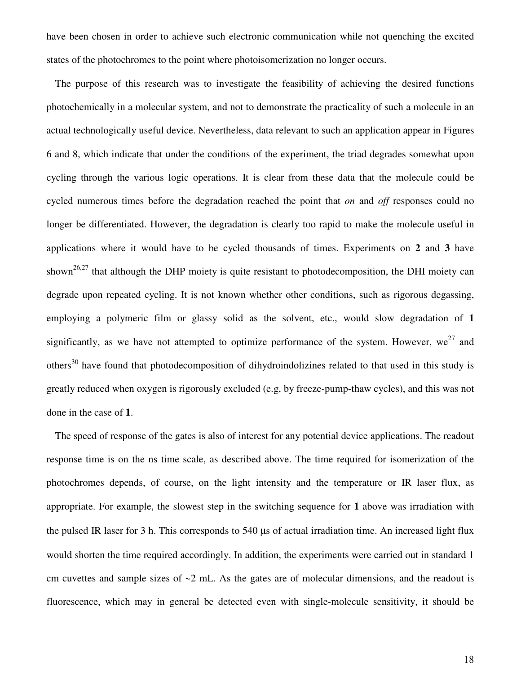have been chosen in order to achieve such electronic communication while not quenching the excited states of the photochromes to the point where photoisomerization no longer occurs.

The purpose of this research was to investigate the feasibility of achieving the desired functions photochemically in a molecular system, and not to demonstrate the practicality of such a molecule in an actual technologically useful device. Nevertheless, data relevant to such an application appear in Figures 6 and 8, which indicate that under the conditions of the experiment, the triad degrades somewhat upon cycling through the various logic operations. It is clear from these data that the molecule could be cycled numerous times before the degradation reached the point that *on* and *off* responses could no longer be differentiated. However, the degradation is clearly too rapid to make the molecule useful in applications where it would have to be cycled thousands of times. Experiments on **2** and **3** have shown<sup>26,27</sup> that although the DHP moiety is quite resistant to photodecomposition, the DHI moiety can degrade upon repeated cycling. It is not known whether other conditions, such as rigorous degassing, employing a polymeric film or glassy solid as the solvent, etc., would slow degradation of **1** significantly, as we have not attempted to optimize performance of the system. However, we<sup>27</sup> and others<sup>30</sup> have found that photodecomposition of dihydroindolizines related to that used in this study is greatly reduced when oxygen is rigorously excluded (e.g, by freeze-pump-thaw cycles), and this was not done in the case of **1**.

The speed of response of the gates is also of interest for any potential device applications. The readout response time is on the ns time scale, as described above. The time required for isomerization of the photochromes depends, of course, on the light intensity and the temperature or IR laser flux, as appropriate. For example, the slowest step in the switching sequence for **1** above was irradiation with the pulsed IR laser for 3 h. This corresponds to 540 µs of actual irradiation time. An increased light flux would shorten the time required accordingly. In addition, the experiments were carried out in standard 1 cm cuvettes and sample sizes of  $\sim$ 2 mL. As the gates are of molecular dimensions, and the readout is fluorescence, which may in general be detected even with single-molecule sensitivity, it should be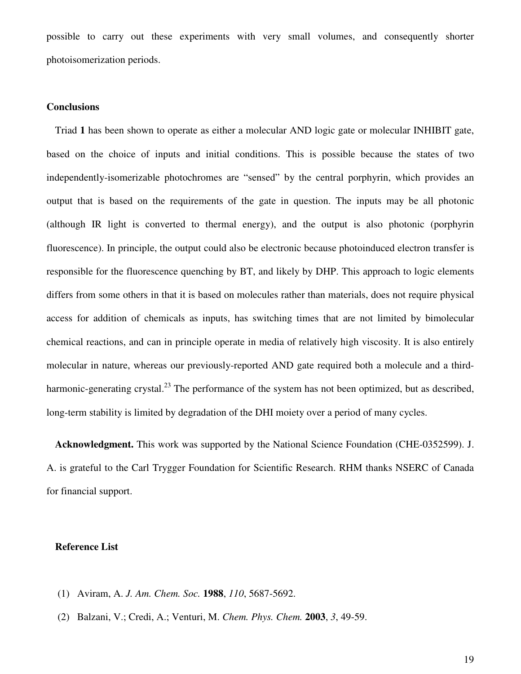possible to carry out these experiments with very small volumes, and consequently shorter photoisomerization periods.

## **Conclusions**

Triad **1** has been shown to operate as either a molecular AND logic gate or molecular INHIBIT gate, based on the choice of inputs and initial conditions. This is possible because the states of two independently-isomerizable photochromes are "sensed" by the central porphyrin, which provides an output that is based on the requirements of the gate in question. The inputs may be all photonic (although IR light is converted to thermal energy), and the output is also photonic (porphyrin fluorescence). In principle, the output could also be electronic because photoinduced electron transfer is responsible for the fluorescence quenching by BT, and likely by DHP. This approach to logic elements differs from some others in that it is based on molecules rather than materials, does not require physical access for addition of chemicals as inputs, has switching times that are not limited by bimolecular chemical reactions, and can in principle operate in media of relatively high viscosity. It is also entirely molecular in nature, whereas our previously-reported AND gate required both a molecule and a thirdharmonic-generating crystal.<sup>23</sup> The performance of the system has not been optimized, but as described, long-term stability is limited by degradation of the DHI moiety over a period of many cycles.

**Acknowledgment.** This work was supported by the National Science Foundation (CHE-0352599). J. A. is grateful to the Carl Trygger Foundation for Scientific Research. RHM thanks NSERC of Canada for financial support.

## **Reference List**

- (1) Aviram, A. *J. Am. Chem. Soc.* **1988**, *110*, 5687-5692.
- (2) Balzani, V.; Credi, A.; Venturi, M. *Chem. Phys. Chem.* **2003**, *3*, 49-59.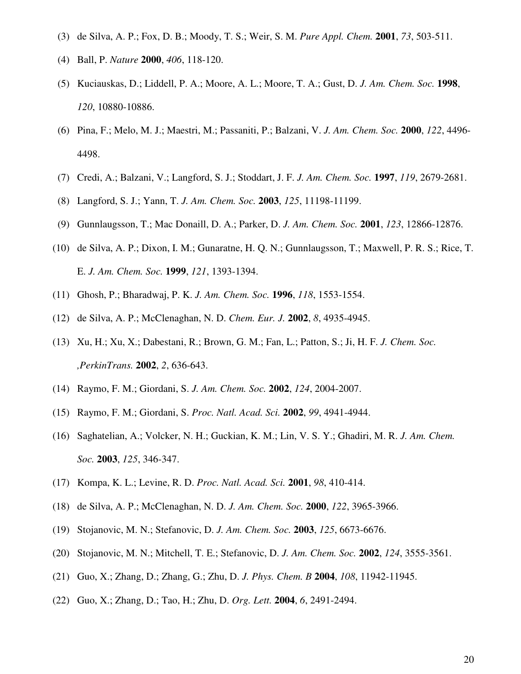- (3) de Silva, A. P.; Fox, D. B.; Moody, T. S.; Weir, S. M. *Pure Appl. Chem.* **2001**, *73*, 503-511.
- (4) Ball, P. *Nature* **2000**, *406*, 118-120.
- (5) Kuciauskas, D.; Liddell, P. A.; Moore, A. L.; Moore, T. A.; Gust, D. *J. Am. Chem. Soc.* **1998**, *120*, 10880-10886.
- (6) Pina, F.; Melo, M. J.; Maestri, M.; Passaniti, P.; Balzani, V. *J. Am. Chem. Soc.* **2000**, *122*, 4496- 4498.
- (7) Credi, A.; Balzani, V.; Langford, S. J.; Stoddart, J. F. *J. Am. Chem. Soc.* **1997**, *119*, 2679-2681.
- (8) Langford, S. J.; Yann, T. *J. Am. Chem. Soc.* **2003**, *125*, 11198-11199.
- (9) Gunnlaugsson, T.; Mac Donaill, D. A.; Parker, D. *J. Am. Chem. Soc.* **2001**, *123*, 12866-12876.
- (10) de Silva, A. P.; Dixon, I. M.; Gunaratne, H. Q. N.; Gunnlaugsson, T.; Maxwell, P. R. S.; Rice, T. E. *J. Am. Chem. Soc.* **1999**, *121*, 1393-1394.
- (11) Ghosh, P.; Bharadwaj, P. K. *J. Am. Chem. Soc.* **1996**, *118*, 1553-1554.
- (12) de Silva, A. P.; McClenaghan, N. D. *Chem. Eur. J.* **2002**, *8*, 4935-4945.
- (13) Xu, H.; Xu, X.; Dabestani, R.; Brown, G. M.; Fan, L.; Patton, S.; Ji, H. F. *J. Chem. Soc. ,PerkinTrans.* **2002**, *2*, 636-643.
- (14) Raymo, F. M.; Giordani, S. *J. Am. Chem. Soc.* **2002**, *124*, 2004-2007.
- (15) Raymo, F. M.; Giordani, S. *Proc. Natl. Acad. Sci.* **2002**, *99*, 4941-4944.
- (16) Saghatelian, A.; Volcker, N. H.; Guckian, K. M.; Lin, V. S. Y.; Ghadiri, M. R. *J. Am. Chem. Soc.* **2003**, *125*, 346-347.
- (17) Kompa, K. L.; Levine, R. D. *Proc. Natl. Acad. Sci.* **2001**, *98*, 410-414.
- (18) de Silva, A. P.; McClenaghan, N. D. *J. Am. Chem. Soc.* **2000**, *122*, 3965-3966.
- (19) Stojanovic, M. N.; Stefanovic, D. *J. Am. Chem. Soc.* **2003**, *125*, 6673-6676.
- (20) Stojanovic, M. N.; Mitchell, T. E.; Stefanovic, D. *J. Am. Chem. Soc.* **2002**, *124*, 3555-3561.
- (21) Guo, X.; Zhang, D.; Zhang, G.; Zhu, D. *J. Phys. Chem. B* **2004**, *108*, 11942-11945.
- (22) Guo, X.; Zhang, D.; Tao, H.; Zhu, D. *Org. Lett.* **2004**, *6*, 2491-2494.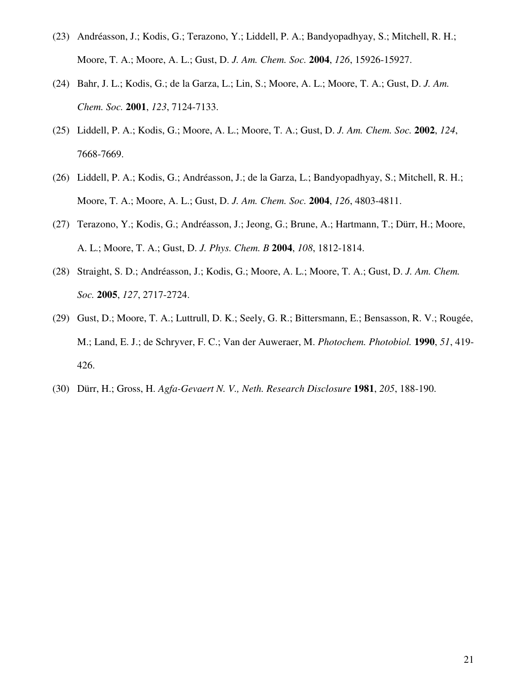- (23) Andréasson, J.; Kodis, G.; Terazono, Y.; Liddell, P. A.; Bandyopadhyay, S.; Mitchell, R. H.; Moore, T. A.; Moore, A. L.; Gust, D. *J. Am. Chem. Soc.* **2004**, *126*, 15926-15927.
- (24) Bahr, J. L.; Kodis, G.; de la Garza, L.; Lin, S.; Moore, A. L.; Moore, T. A.; Gust, D. *J. Am. Chem. Soc.* **2001**, *123*, 7124-7133.
- (25) Liddell, P. A.; Kodis, G.; Moore, A. L.; Moore, T. A.; Gust, D. *J. Am. Chem. Soc.* **2002**, *124*, 7668-7669.
- (26) Liddell, P. A.; Kodis, G.; Andréasson, J.; de la Garza, L.; Bandyopadhyay, S.; Mitchell, R. H.; Moore, T. A.; Moore, A. L.; Gust, D. *J. Am. Chem. Soc.* **2004**, *126*, 4803-4811.
- (27) Terazono, Y.; Kodis, G.; Andréasson, J.; Jeong, G.; Brune, A.; Hartmann, T.; Dürr, H.; Moore, A. L.; Moore, T. A.; Gust, D. *J. Phys. Chem. B* **2004**, *108*, 1812-1814.
- (28) Straight, S. D.; Andréasson, J.; Kodis, G.; Moore, A. L.; Moore, T. A.; Gust, D. *J. Am. Chem. Soc.* **2005**, *127*, 2717-2724.
- (29) Gust, D.; Moore, T. A.; Luttrull, D. K.; Seely, G. R.; Bittersmann, E.; Bensasson, R. V.; Rougée, M.; Land, E. J.; de Schryver, F. C.; Van der Auweraer, M. *Photochem. Photobiol.* **1990**, *51*, 419- 426.
- (30) Dürr, H.; Gross, H. *Agfa-Gevaert N. V., Neth. Research Disclosure* **1981**, *205*, 188-190.